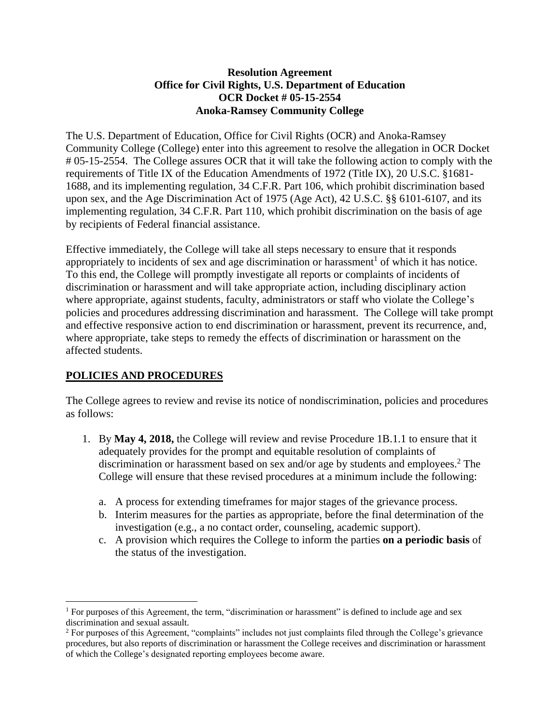## **Resolution Agreement Office for Civil Rights, U.S. Department of Education OCR Docket # 05-15-2554 Anoka-Ramsey Community College**

The U.S. Department of Education, Office for Civil Rights (OCR) and Anoka-Ramsey Community College (College) enter into this agreement to resolve the allegation in OCR Docket # 05-15-2554. The College assures OCR that it will take the following action to comply with the requirements of Title IX of the Education Amendments of 1972 (Title IX), 20 U.S.C. §1681- 1688, and its implementing regulation, 34 C.F.R. Part 106, which prohibit discrimination based upon sex, and the Age Discrimination Act of 1975 (Age Act), 42 U.S.C. §§ 6101-6107, and its implementing regulation, 34 C.F.R. Part 110, which prohibit discrimination on the basis of age by recipients of Federal financial assistance.

Effective immediately, the College will take all steps necessary to ensure that it responds appropriately to incidents of sex and age discrimination or harassment<sup>1</sup> of which it has notice. To this end, the College will promptly investigate all reports or complaints of incidents of discrimination or harassment and will take appropriate action, including disciplinary action where appropriate, against students, faculty, administrators or staff who violate the College's policies and procedures addressing discrimination and harassment. The College will take prompt and effective responsive action to end discrimination or harassment, prevent its recurrence, and, where appropriate, take steps to remedy the effects of discrimination or harassment on the affected students.

## **POLICIES AND PROCEDURES**

 $\overline{a}$ 

The College agrees to review and revise its notice of nondiscrimination, policies and procedures as follows:

- 1. By **May 4, 2018,** the College will review and revise Procedure 1B.1.1 to ensure that it adequately provides for the prompt and equitable resolution of complaints of discrimination or harassment based on sex and/or age by students and employees. <sup>2</sup> The College will ensure that these revised procedures at a minimum include the following:
	- a. A process for extending timeframes for major stages of the grievance process.
	- b. Interim measures for the parties as appropriate, before the final determination of the investigation (e.g., a no contact order, counseling, academic support).
	- c. A provision which requires the College to inform the parties **on a periodic basis** of the status of the investigation.

<sup>1</sup> For purposes of this Agreement, the term, "discrimination or harassment" is defined to include age and sex discrimination and sexual assault.

<sup>&</sup>lt;sup>2</sup> For purposes of this Agreement, "complaints" includes not just complaints filed through the College's grievance procedures, but also reports of discrimination or harassment the College receives and discrimination or harassment of which the College's designated reporting employees become aware.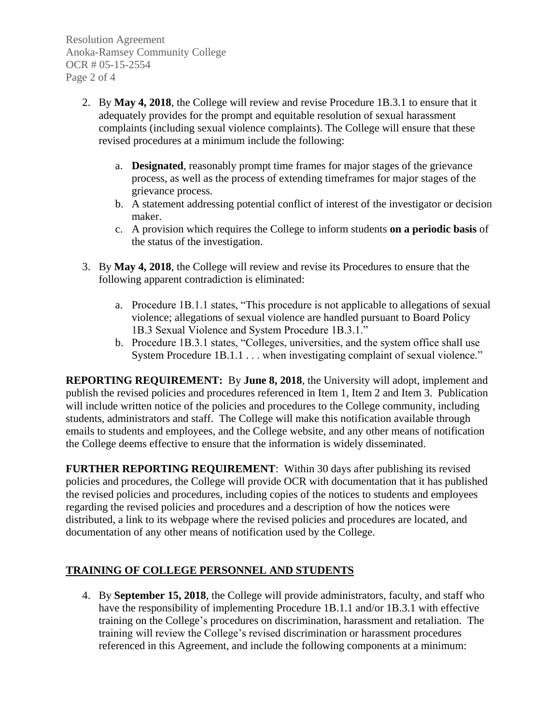Resolution Agreement Anoka-Ramsey Community College OCR # 05-15-2554 Page 2 of 4

- 2. By **May 4, 2018**, the College will review and revise Procedure 1B.3.1 to ensure that it adequately provides for the prompt and equitable resolution of sexual harassment complaints (including sexual violence complaints). The College will ensure that these revised procedures at a minimum include the following:
	- a. **Designated**, reasonably prompt time frames for major stages of the grievance process, as well as the process of extending timeframes for major stages of the grievance process.
	- b. A statement addressing potential conflict of interest of the investigator or decision maker.
	- c. A provision which requires the College to inform students **on a periodic basis** of the status of the investigation.
- 3. By **May 4, 2018**, the College will review and revise its Procedures to ensure that the following apparent contradiction is eliminated:
	- a. Procedure 1B.1.1 states, "This procedure is not applicable to allegations of sexual violence; allegations of sexual violence are handled pursuant to Board Policy 1B.3 Sexual Violence and System Procedure 1B.3.1."
	- b. Procedure 1B.3.1 states, "Colleges, universities, and the system office shall use System Procedure 1B.1.1 . . . when investigating complaint of sexual violence."

**REPORTING REQUIREMENT:** By **June 8, 2018**, the University will adopt, implement and publish the revised policies and procedures referenced in Item 1, Item 2 and Item 3. Publication will include written notice of the policies and procedures to the College community, including students, administrators and staff. The College will make this notification available through emails to students and employees, and the College website, and any other means of notification the College deems effective to ensure that the information is widely disseminated.

**FURTHER REPORTING REQUIREMENT**: Within 30 days after publishing its revised policies and procedures, the College will provide OCR with documentation that it has published the revised policies and procedures, including copies of the notices to students and employees regarding the revised policies and procedures and a description of how the notices were distributed, a link to its webpage where the revised policies and procedures are located, and documentation of any other means of notification used by the College.

## **TRAINING OF COLLEGE PERSONNEL AND STUDENTS**

4. By **September 15, 2018**, the College will provide administrators, faculty, and staff who have the responsibility of implementing Procedure 1B.1.1 and/or 1B.3.1 with effective training on the College's procedures on discrimination, harassment and retaliation. The training will review the College's revised discrimination or harassment procedures referenced in this Agreement, and include the following components at a minimum: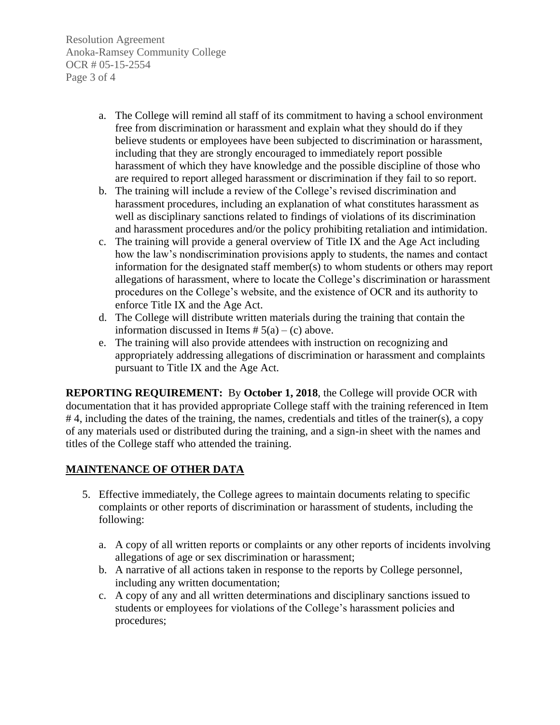Resolution Agreement Anoka-Ramsey Community College OCR # 05-15-2554 Page 3 of 4

- a. The College will remind all staff of its commitment to having a school environment free from discrimination or harassment and explain what they should do if they believe students or employees have been subjected to discrimination or harassment, including that they are strongly encouraged to immediately report possible harassment of which they have knowledge and the possible discipline of those who are required to report alleged harassment or discrimination if they fail to so report.
- b. The training will include a review of the College's revised discrimination and harassment procedures, including an explanation of what constitutes harassment as well as disciplinary sanctions related to findings of violations of its discrimination and harassment procedures and/or the policy prohibiting retaliation and intimidation.
- c. The training will provide a general overview of Title IX and the Age Act including how the law's nondiscrimination provisions apply to students, the names and contact information for the designated staff member(s) to whom students or others may report allegations of harassment, where to locate the College's discrimination or harassment procedures on the College's website, and the existence of OCR and its authority to enforce Title IX and the Age Act.
- d. The College will distribute written materials during the training that contain the information discussed in Items  $# 5(a) - (c)$  above.
- e. The training will also provide attendees with instruction on recognizing and appropriately addressing allegations of discrimination or harassment and complaints pursuant to Title IX and the Age Act.

**REPORTING REQUIREMENT:** By **October 1, 2018**, the College will provide OCR with documentation that it has provided appropriate College staff with the training referenced in Item # 4, including the dates of the training, the names, credentials and titles of the trainer(s), a copy of any materials used or distributed during the training, and a sign-in sheet with the names and titles of the College staff who attended the training.

## **MAINTENANCE OF OTHER DATA**

- 5. Effective immediately, the College agrees to maintain documents relating to specific complaints or other reports of discrimination or harassment of students, including the following:
	- a. A copy of all written reports or complaints or any other reports of incidents involving allegations of age or sex discrimination or harassment;
	- b. A narrative of all actions taken in response to the reports by College personnel, including any written documentation;
	- c. A copy of any and all written determinations and disciplinary sanctions issued to students or employees for violations of the College's harassment policies and procedures;